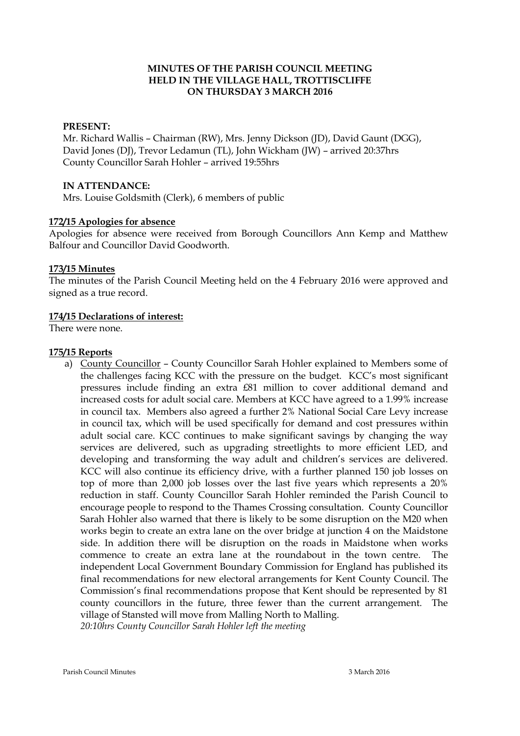## **MINUTES OF THE PARISH COUNCIL MEETING HELD IN THE VILLAGE HALL, TROTTISCLIFFE ON THURSDAY 3 MARCH 2016**

#### **PRESENT:**

Mr. Richard Wallis – Chairman (RW), Mrs. Jenny Dickson (JD), David Gaunt (DGG), David Jones (DJ), Trevor Ledamun (TL), John Wickham (JW) – arrived 20:37hrs County Councillor Sarah Hohler – arrived 19:55hrs

#### **IN ATTENDANCE:**

Mrs. Louise Goldsmith (Clerk), 6 members of public

#### **172/15 Apologies for absence**

Apologies for absence were received from Borough Councillors Ann Kemp and Matthew Balfour and Councillor David Goodworth.

#### **173/15 Minutes**

The minutes of the Parish Council Meeting held on the 4 February 2016 were approved and signed as a true record.

#### **174/15 Declarations of interest:**

There were none.

#### **175/15 Reports**

a) County Councillor – County Councillor Sarah Hohler explained to Members some of the challenges facing KCC with the pressure on the budget. KCC's most significant pressures include finding an extra £81 million to cover additional demand and increased costs for adult social care. Members at KCC have agreed to a 1.99% increase in council tax. Members also agreed a further 2% National Social Care Levy increase in council tax, which will be used specifically for demand and cost pressures within adult social care. KCC continues to make significant savings by changing the way services are delivered, such as upgrading streetlights to more efficient LED, and developing and transforming the way adult and children's services are delivered. KCC will also continue its efficiency drive, with a further planned 150 job losses on top of more than 2,000 job losses over the last five years which represents a 20% reduction in staff. County Councillor Sarah Hohler reminded the Parish Council to encourage people to respond to the Thames Crossing consultation. County Councillor Sarah Hohler also warned that there is likely to be some disruption on the M20 when works begin to create an extra lane on the over bridge at junction 4 on the Maidstone side. In addition there will be disruption on the roads in Maidstone when works commence to create an extra lane at the roundabout in the town centre. The independent Local Government Boundary Commission for England has published its final recommendations for new electoral arrangements for Kent County Council. The Commission's final recommendations propose that Kent should be represented by 81 county councillors in the future, three fewer than the current arrangement. The village of Stansted will move from Malling North to Malling. *20:10hrs County Councillor Sarah Hohler left the meeting*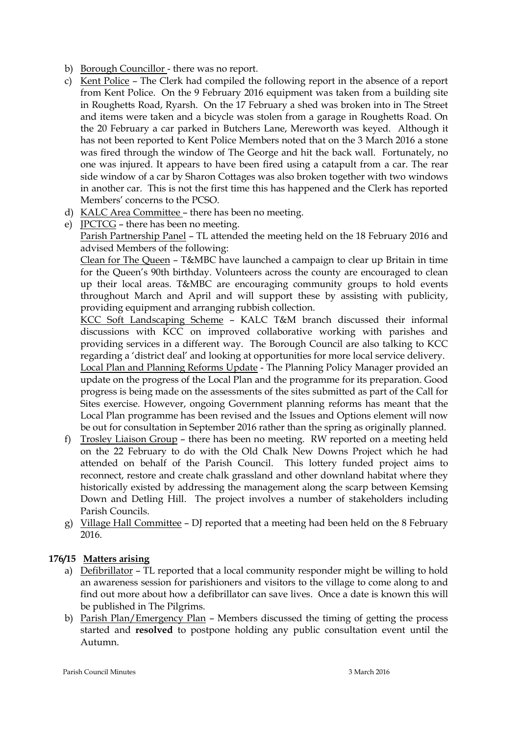- b) Borough Councillor there was no report.
- c) Kent Police The Clerk had compiled the following report in the absence of a report from Kent Police. On the 9 February 2016 equipment was taken from a building site in Roughetts Road, Ryarsh. On the 17 February a shed was broken into in The Street and items were taken and a bicycle was stolen from a garage in Roughetts Road. On the 20 February a car parked in Butchers Lane, Mereworth was keyed. Although it has not been reported to Kent Police Members noted that on the 3 March 2016 a stone was fired through the window of The George and hit the back wall. Fortunately, no one was injured. It appears to have been fired using a catapult from a car. The rear side window of a car by Sharon Cottages was also broken together with two windows in another car. This is not the first time this has happened and the Clerk has reported Members' concerns to the PCSO.
- d) KALC Area Committee there has been no meeting.
- e) JPCTCG there has been no meeting.

Parish Partnership Panel – TL attended the meeting held on the 18 February 2016 and advised Members of the following:

Clean for The Queen – T&MBC have launched a campaign to clear up Britain in time for the Queen's 90th birthday. Volunteers across the county are encouraged to clean up their local areas. T&MBC are encouraging community groups to hold events throughout March and April and will support these by assisting with publicity, providing equipment and arranging rubbish collection.

KCC Soft Landscaping Scheme – KALC T&M branch discussed their informal discussions with KCC on improved collaborative working with parishes and providing services in a different way. The Borough Council are also talking to KCC regarding a 'district deal' and looking at opportunities for more local service delivery.

Local Plan and Planning Reforms Update - The Planning Policy Manager provided an update on the progress of the Local Plan and the programme for its preparation. Good progress is being made on the assessments of the sites submitted as part of the Call for Sites exercise. However, ongoing Government planning reforms has meant that the Local Plan programme has been revised and the Issues and Options element will now be out for consultation in September 2016 rather than the spring as originally planned.

- f) Trosley Liaison Group there has been no meeting. RW reported on a meeting held on the 22 February to do with the Old Chalk New Downs Project which he had attended on behalf of the Parish Council. This lottery funded project aims to reconnect, restore and create chalk grassland and other downland habitat where they historically existed by addressing the management along the scarp between Kemsing Down and Detling Hill. The project involves a number of stakeholders including Parish Councils.
- g) Village Hall Committee DJ reported that a meeting had been held on the 8 February 2016.

# **176/15 Matters arising**

- a) Defibrillator TL reported that a local community responder might be willing to hold an awareness session for parishioners and visitors to the village to come along to and find out more about how a defibrillator can save lives. Once a date is known this will be published in The Pilgrims.
- b) Parish Plan/Emergency Plan Members discussed the timing of getting the process started and **resolved** to postpone holding any public consultation event until the Autumn.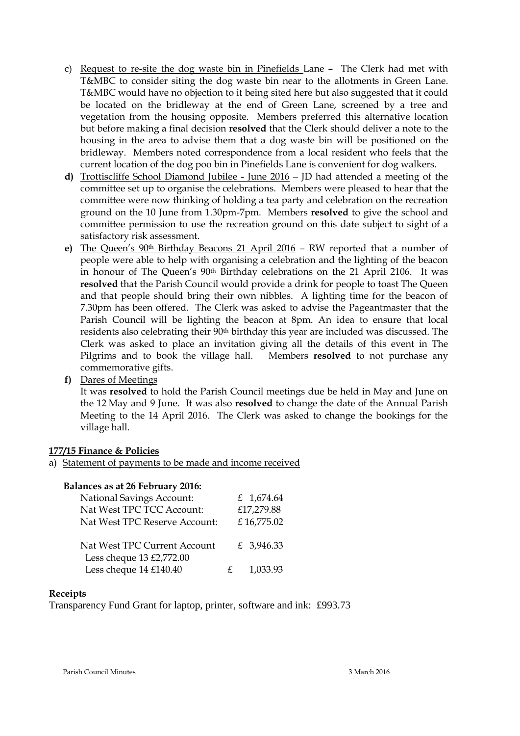- c) Request to re-site the dog waste bin in Pinefields Lane The Clerk had met with T&MBC to consider siting the dog waste bin near to the allotments in Green Lane. T&MBC would have no objection to it being sited here but also suggested that it could be located on the bridleway at the end of Green Lane, screened by a tree and vegetation from the housing opposite. Members preferred this alternative location but before making a final decision **resolved** that the Clerk should deliver a note to the housing in the area to advise them that a dog waste bin will be positioned on the bridleway. Members noted correspondence from a local resident who feels that the current location of the dog poo bin in Pinefields Lane is convenient for dog walkers.
- **d)** Trottiscliffe School Diamond Jubilee June 2016 JD had attended a meeting of the committee set up to organise the celebrations. Members were pleased to hear that the committee were now thinking of holding a tea party and celebration on the recreation ground on the 10 June from 1.30pm-7pm. Members **resolved** to give the school and committee permission to use the recreation ground on this date subject to sight of a satisfactory risk assessment.
- **e)** The Queen's 90th Birthday Beacons 21 April 2016 RW reported that a number of people were able to help with organising a celebration and the lighting of the beacon in honour of The Queen's 90th Birthday celebrations on the 21 April 2106. It was **resolved** that the Parish Council would provide a drink for people to toast The Queen and that people should bring their own nibbles. A lighting time for the beacon of 7.30pm has been offered. The Clerk was asked to advise the Pageantmaster that the Parish Council will be lighting the beacon at 8pm. An idea to ensure that local residents also celebrating their 90th birthday this year are included was discussed. The Clerk was asked to place an invitation giving all the details of this event in The Pilgrims and to book the village hall. Members **resolved** to not purchase any commemorative gifts.
- **f)** Dares of Meetings

It was **resolved** to hold the Parish Council meetings due be held in May and June on the 12 May and 9 June. It was also **resolved** to change the date of the Annual Parish Meeting to the 14 April 2016. The Clerk was asked to change the bookings for the village hall.

#### **177/15 Finance & Policies**

a) Statement of payments to be made and income received

#### **Balances as at 26 February 2016:**

|             | £ 1,674.64 |
|-------------|------------|
|             | £17,279.88 |
|             | £16,775.02 |
|             |            |
|             | £ 3,946.33 |
|             |            |
| $f_{\cdot}$ | 1,033.93   |
|             |            |

#### **Receipts**

Transparency Fund Grant for laptop, printer, software and ink: £993.73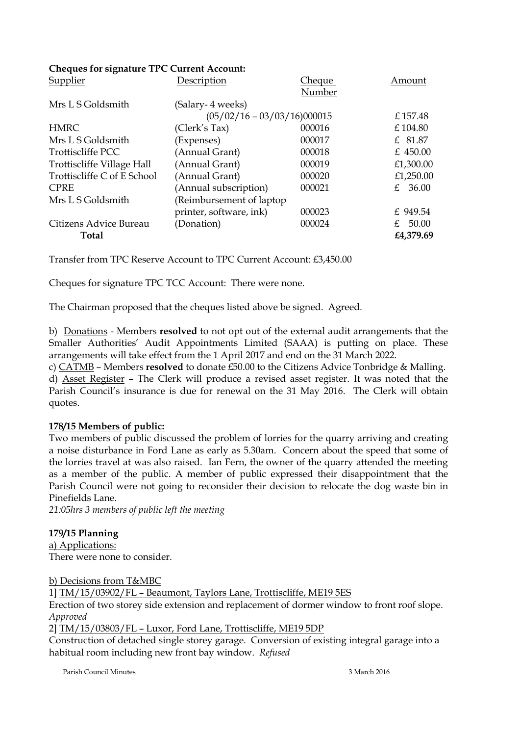# **Cheques for signature TPC Current Account:**

| Supplier                    | Description                   | <u>Cheque</u> | Amount               |
|-----------------------------|-------------------------------|---------------|----------------------|
|                             |                               | Number        |                      |
| Mrs L S Goldsmith           | (Salary- 4 weeks)             |               |                      |
|                             | $(05/02/16 - 03/03/16)000015$ |               | £157.48              |
| <b>HMRC</b>                 | (Clerk's Tax)                 | 000016        | £104.80              |
| Mrs L S Goldsmith           | (Expenses)                    | 000017        | £ 81.87              |
| Trottiscliffe PCC           | (Annual Grant)                | 000018        | £ 450.00             |
| Trottiscliffe Village Hall  | (Annual Grant)                | 000019        | £1,300.00            |
| Trottiscliffe C of E School | (Annual Grant)                | 000020        | £1,250.00            |
| <b>CPRE</b>                 | (Annual subscription)         | 000021        | 36.00<br>$f_{\cdot}$ |
| Mrs L S Goldsmith           | (Reimbursement of laptop)     |               |                      |
|                             | printer, software, ink)       | 000023        | £ 949.54             |
| Citizens Advice Bureau      | (Donation)                    | 000024        | 50.00<br>$+$         |
| Total                       |                               |               | £4,379.69            |
|                             |                               |               |                      |

Transfer from TPC Reserve Account to TPC Current Account: £3,450.00

Cheques for signature TPC TCC Account: There were none.

The Chairman proposed that the cheques listed above be signed. Agreed.

b) Donations - Members **resolved** to not opt out of the external audit arrangements that the Smaller Authorities' Audit Appointments Limited (SAAA) is putting on place. These arrangements will take effect from the 1 April 2017 and end on the 31 March 2022.

c) CATMB – Members **resolved** to donate £50.00 to the Citizens Advice Tonbridge & Malling. d) Asset Register – The Clerk will produce a revised asset register. It was noted that the Parish Council's insurance is due for renewal on the 31 May 2016. The Clerk will obtain quotes.

## **178/15 Members of public:**

Two members of public discussed the problem of lorries for the quarry arriving and creating a noise disturbance in Ford Lane as early as 5.30am. Concern about the speed that some of the lorries travel at was also raised. Ian Fern, the owner of the quarry attended the meeting as a member of the public. A member of public expressed their disappointment that the Parish Council were not going to reconsider their decision to relocate the dog waste bin in Pinefields Lane.

*21:05hrs 3 members of public left the meeting*

## **179/15 Planning**

a) Applications: There were none to consider.

b) Decisions from T&MBC

1] TM/15/03902/FL – Beaumont, Taylors Lane, Trottiscliffe, ME19 5ES Erection of two storey side extension and replacement of dormer window to front roof slope. *Approved* 2] TM/15/03803/FL – Luxor, Ford Lane, Trottiscliffe, ME19 5DP

Construction of detached single storey garage. Conversion of existing integral garage into a habitual room including new front bay window. *Refused*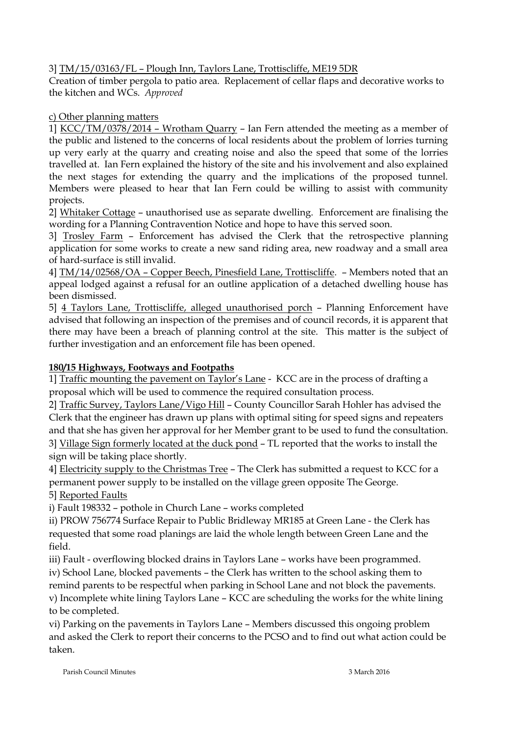3] TM/15/03163/FL – Plough Inn, Taylors Lane, Trottiscliffe, ME19 5DR

Creation of timber pergola to patio area. Replacement of cellar flaps and decorative works to the kitchen and WCs. *Approved*

# c) Other planning matters

1] KCC/TM/0378/2014 – Wrotham Quarry – Ian Fern attended the meeting as a member of the public and listened to the concerns of local residents about the problem of lorries turning up very early at the quarry and creating noise and also the speed that some of the lorries travelled at. Ian Fern explained the history of the site and his involvement and also explained the next stages for extending the quarry and the implications of the proposed tunnel. Members were pleased to hear that Ian Fern could be willing to assist with community projects.

2] Whitaker Cottage – unauthorised use as separate dwelling. Enforcement are finalising the wording for a Planning Contravention Notice and hope to have this served soon.

3] Trosley Farm – Enforcement has advised the Clerk that the retrospective planning application for some works to create a new sand riding area, new roadway and a small area of hard-surface is still invalid.

4] TM/14/02568/OA – Copper Beech, Pinesfield Lane, Trottiscliffe. – Members noted that an appeal lodged against a refusal for an outline application of a detached dwelling house has been dismissed.

5] 4 Taylors Lane, Trottiscliffe, alleged unauthorised porch – Planning Enforcement have advised that following an inspection of the premises and of council records, it is apparent that there may have been a breach of planning control at the site. This matter is the subject of further investigation and an enforcement file has been opened.

# **180/15 Highways, Footways and Footpaths**

1] Traffic mounting the pavement on Taylor's Lane - KCC are in the process of drafting a proposal which will be used to commence the required consultation process.

2] Traffic Survey, Taylors Lane/Vigo Hill – County Councillor Sarah Hohler has advised the Clerk that the engineer has drawn up plans with optimal siting for speed signs and repeaters and that she has given her approval for her Member grant to be used to fund the consultation. 3] Village Sign formerly located at the duck pond – TL reported that the works to install the sign will be taking place shortly.

4] Electricity supply to the Christmas Tree – The Clerk has submitted a request to KCC for a permanent power supply to be installed on the village green opposite The George.

5] Reported Faults

i) Fault 198332 – pothole in Church Lane – works completed

ii) PROW 756774 Surface Repair to Public Bridleway MR185 at Green Lane - the Clerk has requested that some road planings are laid the whole length between Green Lane and the field.

iii) Fault - overflowing blocked drains in Taylors Lane – works have been programmed. iv) School Lane, blocked pavements – the Clerk has written to the school asking them to

remind parents to be respectful when parking in School Lane and not block the pavements.

v) Incomplete white lining Taylors Lane – KCC are scheduling the works for the white lining to be completed.

vi) Parking on the pavements in Taylors Lane – Members discussed this ongoing problem and asked the Clerk to report their concerns to the PCSO and to find out what action could be taken.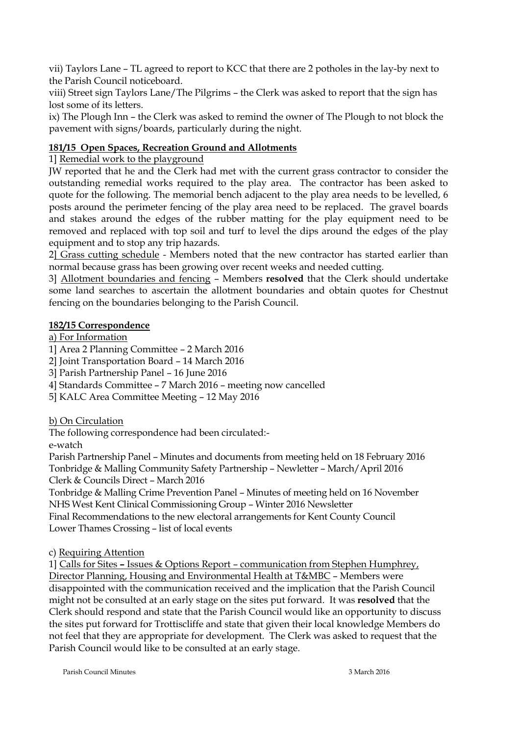vii) Taylors Lane – TL agreed to report to KCC that there are 2 potholes in the lay-by next to the Parish Council noticeboard.

viii) Street sign Taylors Lane/The Pilgrims – the Clerk was asked to report that the sign has lost some of its letters.

ix) The Plough Inn – the Clerk was asked to remind the owner of The Plough to not block the pavement with signs/boards, particularly during the night.

# **181/15 Open Spaces, Recreation Ground and Allotments**

1] Remedial work to the playground

JW reported that he and the Clerk had met with the current grass contractor to consider the outstanding remedial works required to the play area. The contractor has been asked to quote for the following. The memorial bench adjacent to the play area needs to be levelled, 6 posts around the perimeter fencing of the play area need to be replaced. The gravel boards and stakes around the edges of the rubber matting for the play equipment need to be removed and replaced with top soil and turf to level the dips around the edges of the play equipment and to stop any trip hazards.

2] Grass cutting schedule - Members noted that the new contractor has started earlier than normal because grass has been growing over recent weeks and needed cutting.

3] Allotment boundaries and fencing – Members **resolved** that the Clerk should undertake some land searches to ascertain the allotment boundaries and obtain quotes for Chestnut fencing on the boundaries belonging to the Parish Council.

## **182/15 Correspondence**

a) For Information

1] Area 2 Planning Committee – 2 March 2016

2] Joint Transportation Board – 14 March 2016

3] Parish Partnership Panel – 16 June 2016

4] Standards Committee – 7 March 2016 – meeting now cancelled

5] KALC Area Committee Meeting – 12 May 2016

b) On Circulation

The following correspondence had been circulated:-

e-watch

Parish Partnership Panel – Minutes and documents from meeting held on 18 February 2016 Tonbridge & Malling Community Safety Partnership – Newletter – March/April 2016 Clerk & Councils Direct – March 2016

Tonbridge & Malling Crime Prevention Panel – Minutes of meeting held on 16 November NHS West Kent Clinical Commissioning Group – Winter 2016 Newsletter

Final Recommendations to the new electoral arrangements for Kent County Council Lower Thames Crossing – list of local events

c) Requiring Attention

1] Calls for Sites **–** Issues & Options Report – communication from Stephen Humphrey, Director Planning, Housing and Environmental Health at T&MBC – Members were disappointed with the communication received and the implication that the Parish Council might not be consulted at an early stage on the sites put forward. It was **resolved** that the Clerk should respond and state that the Parish Council would like an opportunity to discuss the sites put forward for Trottiscliffe and state that given their local knowledge Members do not feel that they are appropriate for development. The Clerk was asked to request that the Parish Council would like to be consulted at an early stage.